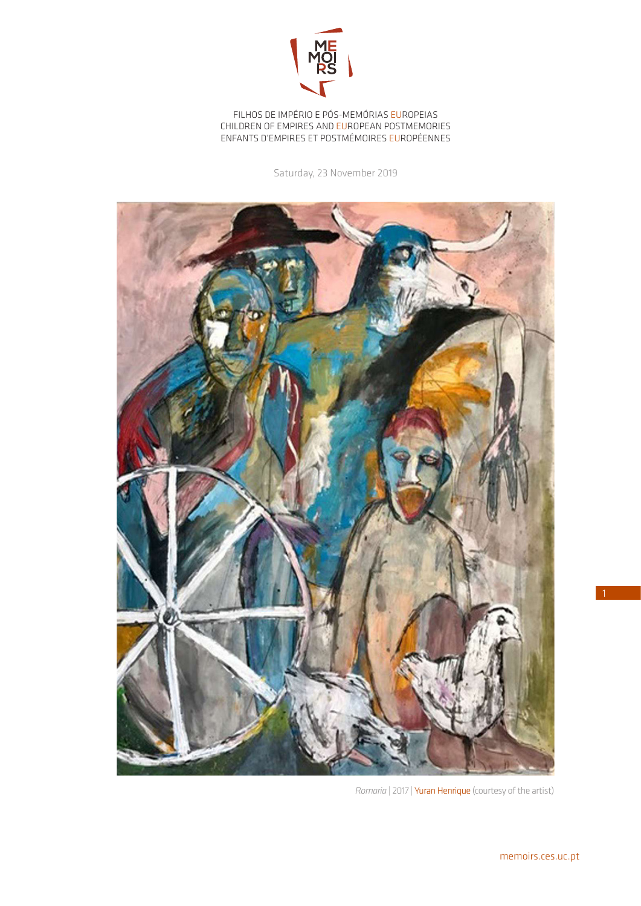

FILHOS DE IMPÉRIO E PÓS-MEMÓRIAS EUROPEIAS CHILDREN OF EMPIRES AND EUROPEAN POSTMEMORIES ENFANTS D'EMPIRES ET POSTMÉMOIRES EUROPÉENNES

Saturday, 23 November 2019



*Romaria* | 2017 | Yuran Henrique (courtesy of the artist)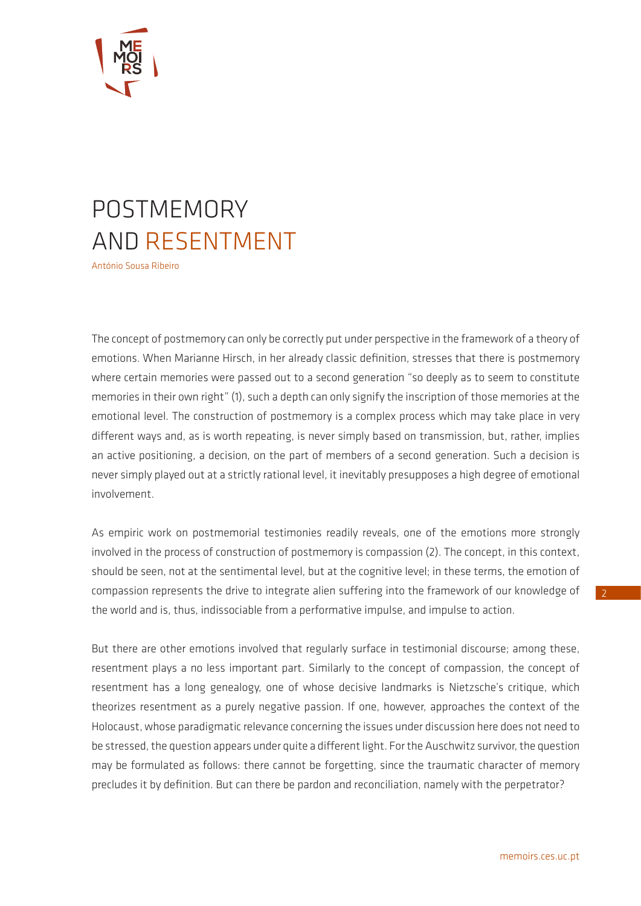

## POSTMEMORY AND RESENTMENT

António Sousa Ribeiro

The concept of postmemory can only be correctly put under perspective in the framework of a theory of emotions. When Marianne Hirsch, in her already classic definition, stresses that there is postmemory where certain memories were passed out to a second generation "so deeply as to seem to constitute memories in their own right" (1), such a depth can only signify the inscription of those memories at the emotional level. The construction of postmemory is a complex process which may take place in very different ways and, as is worth repeating, is never simply based on transmission, but, rather, implies an active positioning, a decision, on the part of members of a second generation. Such a decision is never simply played out at a strictly rational level, it inevitably presupposes a high degree of emotional involvement.

As empiric work on postmemorial testimonies readily reveals, one of the emotions more strongly involved in the process of construction of postmemory is compassion (2). The concept, in this context, should be seen, not at the sentimental level, but at the cognitive level; in these terms, the emotion of compassion represents the drive to integrate alien suffering into the framework of our knowledge of the world and is, thus, indissociable from a performative impulse, and impulse to action.

But there are other emotions involved that regularly surface in testimonial discourse; among these, resentment plays a no less important part. Similarly to the concept of compassion, the concept of resentment has a long genealogy, one of whose decisive landmarks is Nietzsche's critique, which theorizes resentment as a purely negative passion. If one, however, approaches the context of the Holocaust, whose paradigmatic relevance concerning the issues under discussion here does not need to be stressed, the question appears under quite a different light. For the Auschwitz survivor, the question may be formulated as follows: there cannot be forgetting, since the traumatic character of memory precludes it by definition. But can there be pardon and reconciliation, namely with the perpetrator?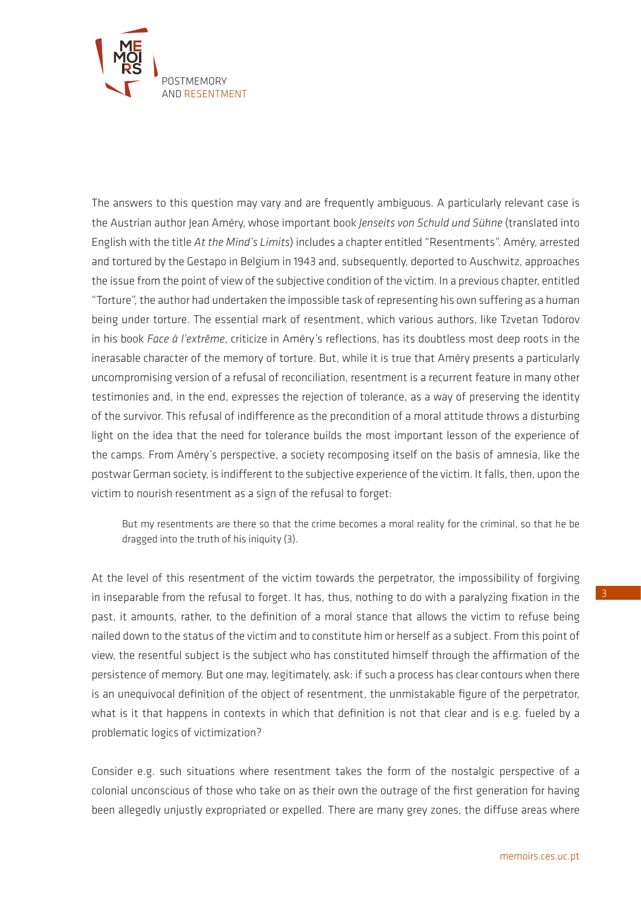

The answers to this question may vary and are frequently ambiguous. A particularly relevant case is the Austrian author Jean Améry, whose important book *Jenseits von Schuld und Sühne* (translated into English with the title *At the Mind's Limits*) includes a chapter entitled "Resentments". Améry, arrested and tortured by the Gestapo in Belgium in 1943 and, subsequently, deported to Auschwitz, approaches the issue from the point of view of the subjective condition of the victim. In a previous chapter, entitled "Torture", the author had undertaken the impossible task of representing his own suffering as a human being under torture. The essential mark of resentment, which various authors, like Tzvetan Todorov in his book *Face à l'extrême*, criticize in Améry's reflections, has its doubtless most deep roots in the inerasable character of the memory of torture. But, while it is true that Améry presents a particularly uncompromising version of a refusal of reconciliation, resentment is a recurrent feature in many other testimonies and, in the end, expresses the rejection of tolerance, as a way of preserving the identity of the survivor. This refusal of indifference as the precondition of a moral attitude throws a disturbing light on the idea that the need for tolerance builds the most important lesson of the experience of the camps. From Améry's perspective, a society recomposing itself on the basis of amnesia, like the postwar German society, is indifferent to the subjective experience of the victim. It falls, then, upon the victim to nourish resentment as a sign of the refusal to forget:

But my resentments are there so that the crime becomes a moral reality for the criminal, so that he be dragged into the truth of his iniquity (3).

At the level of this resentment of the victim towards the perpetrator, the impossibility of forgiving in inseparable from the refusal to forget. It has, thus, nothing to do with a paralyzing fixation in the past, it amounts, rather, to the definition of a moral stance that allows the victim to refuse being nailed down to the status of the victim and to constitute him or herself as a subject. From this point of view, the resentful subject is the subject who has constituted himself through the affirmation of the persistence of memory. But one may, legitimately, ask: if such a process has clear contours when there is an unequivocal definition of the object of resentment, the unmistakable figure of the perpetrator, what is it that happens in contexts in which that definition is not that clear and is e.g. fueled by a problematic logics of victimization?

Consider e.g. such situations where resentment takes the form of the nostalgic perspective of a colonial unconscious of those who take on as their own the outrage of the first generation for having been allegedly unjustly expropriated or expelled. There are many grey zones, the diffuse areas where